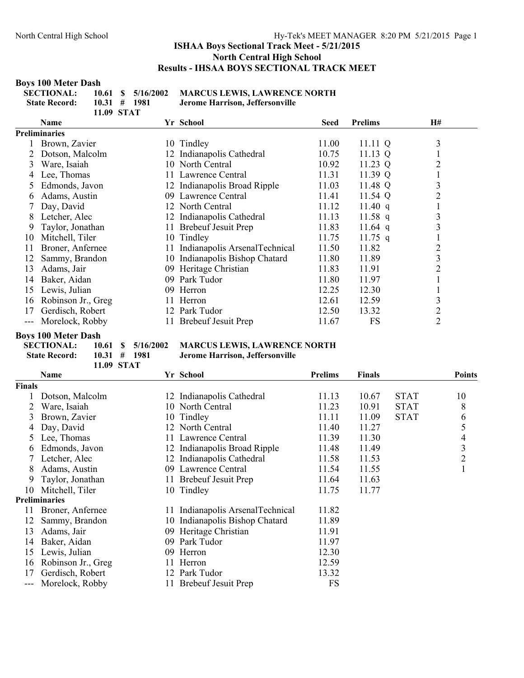#### **Boys 100 Meter Dash**

| <b>SECTIONAL:</b>    |                  | $10.61 \quad$ \$ $5/16/2002 \quad$ MAI |      |
|----------------------|------------------|----------------------------------------|------|
| <b>State Record:</b> | $10.31 \pm 1981$ |                                        | Jero |
|                      | 11.09 STAT       |                                        |      |

**SECTIONAL: 10.61 \$ 5/16/2002 MARCUS LEWIS, LAWRENCE NORTH State Record: 10.31 # 1981 Jerome Harrison, Jeffersonville**

|    | <b>Name</b>        |    | Yr School                        | <b>Seed</b> | <b>Prelims</b> | <b>H#</b>      |
|----|--------------------|----|----------------------------------|-------------|----------------|----------------|
|    | Preliminaries      |    |                                  |             |                |                |
|    | Brown, Zavier      |    | 10 Tindley                       | 11.00       | $11.11 \ Q$    | 3              |
|    | Dotson, Malcolm    |    | 12 Indianapolis Cathedral        | 10.75       | $11.13 \ Q$    |                |
| 3  | Ware, Isaiah       |    | 10 North Central                 | 10.92       | 11.23 $Q$      | 2              |
| 4  | Lee, Thomas        |    | 11 Lawrence Central              | 11.31       | 11.39 $Q$      |                |
| 5  | Edmonds, Javon     |    | 12 Indianapolis Broad Ripple     | 11.03       | 11.48 Q        | 3              |
| 6  | Adams, Austin      |    | 09 Lawrence Central              | 11.41       | 11.54 Q        | $\overline{2}$ |
|    | Day, David         |    | 12 North Central                 | 11.12       | 11.40 $q$      |                |
| 8  | Letcher, Alec      |    | 12 Indianapolis Cathedral        | 11.13       | $11.58$ q      | 3              |
| 9  | Taylor, Jonathan   | 11 | <b>Brebeuf Jesuit Prep</b>       | 11.83       | 11.64 $q$      | 3              |
| 10 | Mitchell, Tiler    |    | 10 Tindley                       | 11.75       | $11.75$ q      |                |
| 11 | Broner, Anfernee   |    | 11 Indianapolis ArsenalTechnical | 11.50       | 11.82          | 2              |
| 12 | Sammy, Brandon     | 10 | Indianapolis Bishop Chatard      | 11.80       | 11.89          | 3              |
| 13 | Adams, Jair        | 09 | Heritage Christian               | 11.83       | 11.91          | $\overline{2}$ |
| 14 | Baker, Aidan       | 09 | Park Tudor                       | 11.80       | 11.97          |                |
| 15 | Lewis, Julian      |    | 09 Herron                        | 12.25       | 12.30          |                |
| 16 | Robinson Jr., Greg |    | 11 Herron                        | 12.61       | 12.59          | 3              |
| 17 | Gerdisch, Robert   |    | 12 Park Tudor                    | 12.50       | 13.32          | $\overline{2}$ |
|    | Morelock, Robby    |    | 11 Brebeuf Jesuit Prep           | 11.67       | FS             | $\overline{2}$ |

# **Boys 100 Meter Dash**

|                      | 11.09 STAT        |  |
|----------------------|-------------------|--|
| <b>State Record:</b> | $10.31 \pm 19$    |  |
| <b>SECTIONAL:</b>    | $10.61 \quad $5/$ |  |

#### 5/16/2002 MARCUS LEWIS, LAWRENCE NORTH **IEROFIA.** Jerome Harrison, Jeffersonville

|               | Name                 |     | Yr School                      | <b>Prelims</b> | <b>Finals</b> |             | <b>Points</b>  |
|---------------|----------------------|-----|--------------------------------|----------------|---------------|-------------|----------------|
| <b>Finals</b> |                      |     |                                |                |               |             |                |
|               | Dotson, Malcolm      |     | 12 Indianapolis Cathedral      | 11.13          | 10.67         | <b>STAT</b> | 10             |
|               | Ware, Isaiah         |     | 10 North Central               | 11.23          | 10.91         | <b>STAT</b> | 8              |
| 3             | Brown, Zavier        |     | 10 Tindley                     | 11.11          | 11.09         | <b>STAT</b> | 6              |
|               | Day, David           |     | 12 North Central               | 11.40          | 11.27         |             | 5              |
| $\mathcal{L}$ | Lee, Thomas          |     | 11 Lawrence Central            | 11.39          | 11.30         |             | 4              |
| 6             | Edmonds, Javon       |     | 12 Indianapolis Broad Ripple   | 11.48          | 11.49         |             | 3              |
|               | Letcher, Alec        | 12  | Indianapolis Cathedral         | 11.58          | 11.53         |             | $\overline{2}$ |
| 8             | Adams, Austin        | 09. | Lawrence Central               | 11.54          | 11.55         |             | 1              |
| 9.            | Taylor, Jonathan     |     | 11 Brebeuf Jesuit Prep         | 11.64          | 11.63         |             |                |
| 10            | Mitchell, Tiler      |     | 10 Tindley                     | 11.75          | 11.77         |             |                |
|               | <b>Preliminaries</b> |     |                                |                |               |             |                |
| 11            | Broner, Anfernee     | 11. | Indianapolis ArsenalTechnical  | 11.82          |               |             |                |
| 12            | Sammy, Brandon       |     | 10 Indianapolis Bishop Chatard | 11.89          |               |             |                |
| 13            | Adams, Jair          | 09  | Heritage Christian             | 11.91          |               |             |                |
| 14            | Baker, Aidan         | 09  | Park Tudor                     | 11.97          |               |             |                |
| 15            | Lewis, Julian        |     | 09 Herron                      | 12.30          |               |             |                |
| 16            | Robinson Jr., Greg   | 11. | Herron                         | 12.59          |               |             |                |
| 17            | Gerdisch, Robert     | 12  | Park Tudor                     | 13.32          |               |             |                |
|               | Morelock, Robby      |     | <b>Brebeuf Jesuit Prep</b>     | <b>FS</b>      |               |             |                |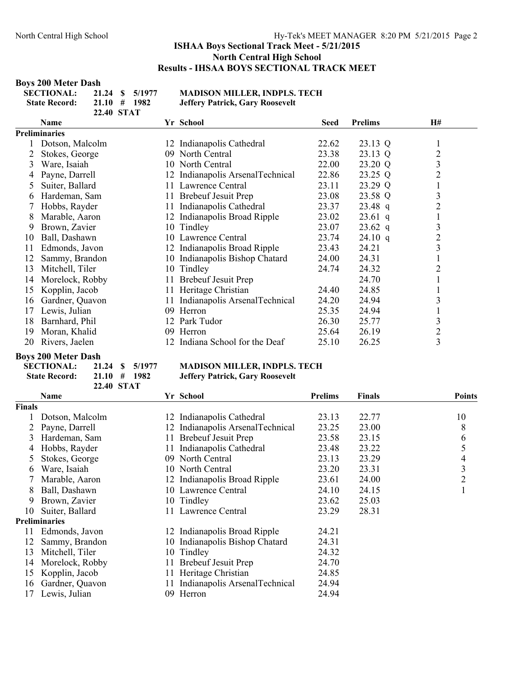#### **Boys 200 Meter Dash**

| <b>SECTIONAL:</b>    |                  | 21.24 \$ 5/1977 | MА    |
|----------------------|------------------|-----------------|-------|
| <b>State Record:</b> | $21.10 \pm 1982$ |                 | Jeff. |
|                      | 22.40 STAT       |                 |       |

**DISON MILLER, INDPLS. TECH State Record: 21.10 # 1982 Jeffery Patrick, Gary Roosevelt**

|    | Name            |     | Yr School                        | <b>Seed</b> | <b>Prelims</b> | <b>H#</b>               |
|----|-----------------|-----|----------------------------------|-------------|----------------|-------------------------|
|    | Preliminaries   |     |                                  |             |                |                         |
|    | Dotson, Malcolm | 12  | Indianapolis Cathedral           | 22.62       | 23.13 Q        |                         |
|    | Stokes, George  | 09  | North Central                    | 23.38       | 23.13 Q        | $\overline{2}$          |
| 3  | Ware, Isaiah    |     | 10 North Central                 | 22.00       | 23.20 Q        | 3                       |
|    | Payne, Darrell  |     | 12 Indianapolis ArsenalTechnical | 22.86       | 23.25 Q        | $\overline{c}$          |
| 5  | Suiter, Ballard | 11  | Lawrence Central                 | 23.11       | 23.29 Q        |                         |
| 6  | Hardeman, Sam   |     | 11 Brebeuf Jesuit Prep           | 23.08       | 23.58 Q        | 3                       |
|    | Hobbs, Rayder   | 11  | Indianapolis Cathedral           | 23.37       | $23.48$ q      | $\overline{c}$          |
| 8  | Marable, Aaron  | 12  | Indianapolis Broad Ripple        | 23.02       | $23.61$ q      |                         |
| 9  | Brown, Zavier   |     | 10 Tindley                       | 23.07       | $23.62$ q      | 3                       |
| 10 | Ball, Dashawn   |     | 10 Lawrence Central              | 23.74       | 24.10 q        | $\overline{c}$          |
| 11 | Edmonds, Javon  |     | 12 Indianapolis Broad Ripple     | 23.43       | 24.21          | 3                       |
| 12 | Sammy, Brandon  | 10  | Indianapolis Bishop Chatard      | 24.00       | 24.31          |                         |
| 13 | Mitchell, Tiler |     | 10 Tindley                       | 24.74       | 24.32          | 2                       |
| 14 | Morelock, Robby | 11  | <b>Brebeuf Jesuit Prep</b>       |             | 24.70          |                         |
| 15 | Kopplin, Jacob  | 11- | Heritage Christian               | 24.40       | 24.85          |                         |
| 16 | Gardner, Quavon | 11  | Indianapolis ArsenalTechnical    | 24.20       | 24.94          | 3                       |
| 17 | Lewis, Julian   | 09  | Herron                           | 25.35       | 24.94          |                         |
| 18 | Barnhard, Phil  |     | 12 Park Tudor                    | 26.30       | 25.77          | 3                       |
| 19 | Moran, Khalid   | 09  | Herron                           | 25.64       | 26.19          | $\overline{c}$          |
| 20 | Rivers, Jaelen  | 12  | Indiana School for the Deaf      | 25.10       | 26.25          | $\overline{\mathbf{3}}$ |
|    |                 |     |                                  |             |                |                         |

#### **Boys 200 Meter Dash**

| <b>SECTIONAL:</b>    |                  |                   | 21.24 \$ 5/1977 |  |
|----------------------|------------------|-------------------|-----------------|--|
| <b>State Record:</b> | $21.10 \pm 1982$ |                   |                 |  |
|                      |                  | <b>22.40 STAT</b> |                 |  |

#### **MADISON MILLER, INDPLS. TECH Jeffery Patrick, Gary Roosevelt**

|               | Name                 |     | Yr School                     | <b>Prelims</b> | Finals | <b>Points</b>  |
|---------------|----------------------|-----|-------------------------------|----------------|--------|----------------|
| <b>Finals</b> |                      |     |                               |                |        |                |
|               | Dotson, Malcolm      | 12  | Indianapolis Cathedral        | 23.13          | 22.77  | 10             |
|               | Payne, Darrell       |     | Indianapolis ArsenalTechnical | 23.25          | 23.00  | 8              |
| 3             | Hardeman, Sam        | 11. | <b>Brebeuf Jesuit Prep</b>    | 23.58          | 23.15  | 6              |
| 4             | Hobbs, Rayder        |     | Indianapolis Cathedral        | 23.48          | 23.22  | 5              |
| 5             | Stokes, George       |     | 09 North Central              | 23.13          | 23.29  | 4              |
| 6             | Ware, Isaiah         |     | 10 North Central              | 23.20          | 23.31  | $\mathfrak{Z}$ |
|               | Marable, Aaron       |     | 12 Indianapolis Broad Ripple  | 23.61          | 24.00  | $\overline{2}$ |
| 8             | Ball, Dashawn        |     | 10 Lawrence Central           | 24.10          | 24.15  |                |
| 9             | Brown, Zavier        |     | 10 Tindley                    | 23.62          | 25.03  |                |
| 10            | Suiter, Ballard      |     | Lawrence Central              | 23.29          | 28.31  |                |
|               | <b>Preliminaries</b> |     |                               |                |        |                |
| 11            | Edmonds, Javon       |     | 12 Indianapolis Broad Ripple  | 24.21          |        |                |
| 12            | Sammy, Brandon       | 10- | Indianapolis Bishop Chatard   | 24.31          |        |                |
| 13            | Mitchell, Tiler      |     | 10 Tindley                    | 24.32          |        |                |
| 14            | Morelock, Robby      | 11  | <b>Brebeuf Jesuit Prep</b>    | 24.70          |        |                |
| 15            | Kopplin, Jacob       | 11- | Heritage Christian            | 24.85          |        |                |
| 16            | Gardner, Quavon      |     | Indianapolis ArsenalTechnical | 24.94          |        |                |
| 17            | Lewis, Julian        | 09  | Herron                        | 24.94          |        |                |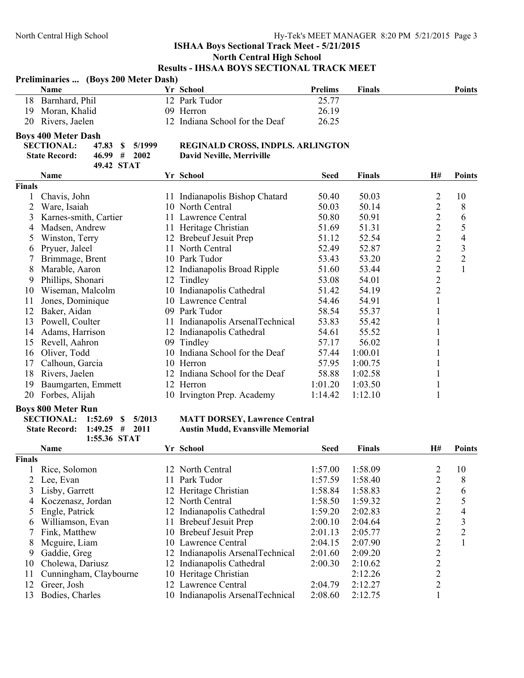| <b>Prelims</b><br>Name<br>Yr School<br><b>Finals</b><br>12 Park Tudor<br>25.77<br>18<br>Barnhard, Phil<br>26.19<br>19<br>Moran, Khalid<br>09 Herron<br>Rivers, Jaelen<br>12 Indiana School for the Deaf<br>26.25<br>20<br><b>Boys 400 Meter Dash</b><br><b>SECTIONAL:</b><br>47.83<br>$\mathbf S$<br>5/1999<br>REGINALD CROSS, INDPLS. ARLINGTON<br>46.99#<br><b>State Record:</b><br>2002<br><b>David Neville, Merriville</b><br>49.42 STAT<br>Yr School<br>Name<br><b>Seed</b><br><b>Finals</b><br>H#<br><b>Finals</b><br>Chavis, John<br>11 Indianapolis Bishop Chatard<br>50.03<br>2<br>50.40<br>1<br>$\overline{c}$<br>$\overline{2}$<br>10 North Central<br>50.03<br>50.14<br>Ware, Isaiah<br>$\overline{c}$<br>Karnes-smith, Cartier<br>50.80<br>50.91<br>3<br>11 Lawrence Central<br>$\overline{c}$<br>Madsen, Andrew<br>11 Heritage Christian<br>51.69<br>51.31<br>4<br>$\overline{2}$<br>Winston, Terry<br>12 Brebeuf Jesuit Prep<br>51.12<br>52.54<br>5<br>$\overline{c}$<br>Pryuer, Jaleel<br>11 North Central<br>52.49<br>52.87<br>6<br>$\overline{c}$<br>Brimmage, Brent<br>10 Park Tudor<br>53.43<br>53.20<br>7<br>$\overline{c}$<br>Marable, Aaron<br>8<br>12 Indianapolis Broad Ripple<br>51.60<br>53.44<br>$\overline{2}$<br>Phillips, Shonari<br>12 Tindley<br>53.08<br>54.01<br>9 | <b>Points</b>                              |
|-------------------------------------------------------------------------------------------------------------------------------------------------------------------------------------------------------------------------------------------------------------------------------------------------------------------------------------------------------------------------------------------------------------------------------------------------------------------------------------------------------------------------------------------------------------------------------------------------------------------------------------------------------------------------------------------------------------------------------------------------------------------------------------------------------------------------------------------------------------------------------------------------------------------------------------------------------------------------------------------------------------------------------------------------------------------------------------------------------------------------------------------------------------------------------------------------------------------------------------------------------------------------------------------------------|--------------------------------------------|
|                                                                                                                                                                                                                                                                                                                                                                                                                                                                                                                                                                                                                                                                                                                                                                                                                                                                                                                                                                                                                                                                                                                                                                                                                                                                                                       |                                            |
|                                                                                                                                                                                                                                                                                                                                                                                                                                                                                                                                                                                                                                                                                                                                                                                                                                                                                                                                                                                                                                                                                                                                                                                                                                                                                                       |                                            |
|                                                                                                                                                                                                                                                                                                                                                                                                                                                                                                                                                                                                                                                                                                                                                                                                                                                                                                                                                                                                                                                                                                                                                                                                                                                                                                       |                                            |
|                                                                                                                                                                                                                                                                                                                                                                                                                                                                                                                                                                                                                                                                                                                                                                                                                                                                                                                                                                                                                                                                                                                                                                                                                                                                                                       |                                            |
|                                                                                                                                                                                                                                                                                                                                                                                                                                                                                                                                                                                                                                                                                                                                                                                                                                                                                                                                                                                                                                                                                                                                                                                                                                                                                                       |                                            |
|                                                                                                                                                                                                                                                                                                                                                                                                                                                                                                                                                                                                                                                                                                                                                                                                                                                                                                                                                                                                                                                                                                                                                                                                                                                                                                       |                                            |
|                                                                                                                                                                                                                                                                                                                                                                                                                                                                                                                                                                                                                                                                                                                                                                                                                                                                                                                                                                                                                                                                                                                                                                                                                                                                                                       |                                            |
|                                                                                                                                                                                                                                                                                                                                                                                                                                                                                                                                                                                                                                                                                                                                                                                                                                                                                                                                                                                                                                                                                                                                                                                                                                                                                                       |                                            |
|                                                                                                                                                                                                                                                                                                                                                                                                                                                                                                                                                                                                                                                                                                                                                                                                                                                                                                                                                                                                                                                                                                                                                                                                                                                                                                       | <b>Points</b>                              |
|                                                                                                                                                                                                                                                                                                                                                                                                                                                                                                                                                                                                                                                                                                                                                                                                                                                                                                                                                                                                                                                                                                                                                                                                                                                                                                       |                                            |
|                                                                                                                                                                                                                                                                                                                                                                                                                                                                                                                                                                                                                                                                                                                                                                                                                                                                                                                                                                                                                                                                                                                                                                                                                                                                                                       | 10                                         |
|                                                                                                                                                                                                                                                                                                                                                                                                                                                                                                                                                                                                                                                                                                                                                                                                                                                                                                                                                                                                                                                                                                                                                                                                                                                                                                       | 8                                          |
|                                                                                                                                                                                                                                                                                                                                                                                                                                                                                                                                                                                                                                                                                                                                                                                                                                                                                                                                                                                                                                                                                                                                                                                                                                                                                                       | 6                                          |
|                                                                                                                                                                                                                                                                                                                                                                                                                                                                                                                                                                                                                                                                                                                                                                                                                                                                                                                                                                                                                                                                                                                                                                                                                                                                                                       | 5                                          |
|                                                                                                                                                                                                                                                                                                                                                                                                                                                                                                                                                                                                                                                                                                                                                                                                                                                                                                                                                                                                                                                                                                                                                                                                                                                                                                       | $\overline{4}$                             |
|                                                                                                                                                                                                                                                                                                                                                                                                                                                                                                                                                                                                                                                                                                                                                                                                                                                                                                                                                                                                                                                                                                                                                                                                                                                                                                       | $\mathfrak{Z}$                             |
|                                                                                                                                                                                                                                                                                                                                                                                                                                                                                                                                                                                                                                                                                                                                                                                                                                                                                                                                                                                                                                                                                                                                                                                                                                                                                                       | $\overline{2}$                             |
|                                                                                                                                                                                                                                                                                                                                                                                                                                                                                                                                                                                                                                                                                                                                                                                                                                                                                                                                                                                                                                                                                                                                                                                                                                                                                                       | $\mathbf{1}$                               |
|                                                                                                                                                                                                                                                                                                                                                                                                                                                                                                                                                                                                                                                                                                                                                                                                                                                                                                                                                                                                                                                                                                                                                                                                                                                                                                       |                                            |
| $\overline{c}$<br>Wiseman, Malcolm<br>10 Indianapolis Cathedral<br>51.42<br>54.19<br>10                                                                                                                                                                                                                                                                                                                                                                                                                                                                                                                                                                                                                                                                                                                                                                                                                                                                                                                                                                                                                                                                                                                                                                                                               |                                            |
| $\mathbf{1}$<br>11<br>Jones, Dominique<br>10 Lawrence Central<br>54.46<br>54.91                                                                                                                                                                                                                                                                                                                                                                                                                                                                                                                                                                                                                                                                                                                                                                                                                                                                                                                                                                                                                                                                                                                                                                                                                       |                                            |
| 12<br>58.54<br>$\mathbf{1}$<br>Baker, Aidan<br>09 Park Tudor<br>55.37                                                                                                                                                                                                                                                                                                                                                                                                                                                                                                                                                                                                                                                                                                                                                                                                                                                                                                                                                                                                                                                                                                                                                                                                                                 |                                            |
| 53.83<br>$\mathbf{1}$<br>13<br>Powell, Coulter<br>11 Indianapolis ArsenalTechnical<br>55.42                                                                                                                                                                                                                                                                                                                                                                                                                                                                                                                                                                                                                                                                                                                                                                                                                                                                                                                                                                                                                                                                                                                                                                                                           |                                            |
| $\mathbf{1}$<br>Adams, Harrison<br>12 Indianapolis Cathedral<br>54.61<br>55.52<br>14                                                                                                                                                                                                                                                                                                                                                                                                                                                                                                                                                                                                                                                                                                                                                                                                                                                                                                                                                                                                                                                                                                                                                                                                                  |                                            |
| $\mathbf{1}$<br>Revell, Aahron<br>56.02<br>09 Tindley<br>57.17<br>15                                                                                                                                                                                                                                                                                                                                                                                                                                                                                                                                                                                                                                                                                                                                                                                                                                                                                                                                                                                                                                                                                                                                                                                                                                  |                                            |
| 10 Indiana School for the Deaf<br>1<br>Oliver, Todd<br>57.44<br>1:00.01<br>16                                                                                                                                                                                                                                                                                                                                                                                                                                                                                                                                                                                                                                                                                                                                                                                                                                                                                                                                                                                                                                                                                                                                                                                                                         |                                            |
| $\mathbf{1}$<br>Calhoun, Garcia<br>10 Herron<br>57.95<br>1:00.75<br>17                                                                                                                                                                                                                                                                                                                                                                                                                                                                                                                                                                                                                                                                                                                                                                                                                                                                                                                                                                                                                                                                                                                                                                                                                                |                                            |
| 12 Indiana School for the Deaf<br>58.88<br>$\mathbf{1}$<br>18<br>Rivers, Jaelen<br>1:02.58                                                                                                                                                                                                                                                                                                                                                                                                                                                                                                                                                                                                                                                                                                                                                                                                                                                                                                                                                                                                                                                                                                                                                                                                            |                                            |
| Baumgarten, Emmett<br>$\mathbf{1}$<br>12 Herron<br>1:01.20<br>1:03.50<br>19                                                                                                                                                                                                                                                                                                                                                                                                                                                                                                                                                                                                                                                                                                                                                                                                                                                                                                                                                                                                                                                                                                                                                                                                                           |                                            |
| $\mathbf{1}$<br>20<br>Forbes, Alijah<br>10 Irvington Prep. Academy<br>1:12.10<br>1:14.42                                                                                                                                                                                                                                                                                                                                                                                                                                                                                                                                                                                                                                                                                                                                                                                                                                                                                                                                                                                                                                                                                                                                                                                                              |                                            |
| <b>Boys 800 Meter Run</b>                                                                                                                                                                                                                                                                                                                                                                                                                                                                                                                                                                                                                                                                                                                                                                                                                                                                                                                                                                                                                                                                                                                                                                                                                                                                             |                                            |
| <b>SECTIONAL:</b><br><b>MATT DORSEY, Lawrence Central</b><br>1:52.69<br>\$<br>5/2013                                                                                                                                                                                                                                                                                                                                                                                                                                                                                                                                                                                                                                                                                                                                                                                                                                                                                                                                                                                                                                                                                                                                                                                                                  |                                            |
| <b>State Record:</b><br>1:49.25<br>#<br>2011<br><b>Austin Mudd, Evansville Memorial</b>                                                                                                                                                                                                                                                                                                                                                                                                                                                                                                                                                                                                                                                                                                                                                                                                                                                                                                                                                                                                                                                                                                                                                                                                               |                                            |
| 1:55.36 STAT                                                                                                                                                                                                                                                                                                                                                                                                                                                                                                                                                                                                                                                                                                                                                                                                                                                                                                                                                                                                                                                                                                                                                                                                                                                                                          |                                            |
| Yr School<br><b>Finals</b><br>H#<br>Name<br><b>Seed</b>                                                                                                                                                                                                                                                                                                                                                                                                                                                                                                                                                                                                                                                                                                                                                                                                                                                                                                                                                                                                                                                                                                                                                                                                                                               | <b>Points</b>                              |
| Finals                                                                                                                                                                                                                                                                                                                                                                                                                                                                                                                                                                                                                                                                                                                                                                                                                                                                                                                                                                                                                                                                                                                                                                                                                                                                                                |                                            |
| $\overline{\mathbf{c}}$<br>12 North Central<br>1:57.00<br>1:58.09<br>Rice, Solomon<br>1                                                                                                                                                                                                                                                                                                                                                                                                                                                                                                                                                                                                                                                                                                                                                                                                                                                                                                                                                                                                                                                                                                                                                                                                               | 10                                         |
| $\overline{c}$<br>2<br>Lee, Evan<br>11 Park Tudor<br>1:57.59<br>1:58.40                                                                                                                                                                                                                                                                                                                                                                                                                                                                                                                                                                                                                                                                                                                                                                                                                                                                                                                                                                                                                                                                                                                                                                                                                               | 8                                          |
| 1:58.84<br>Lisby, Garrett<br>12 Heritage Christian<br>1:58.83<br>3                                                                                                                                                                                                                                                                                                                                                                                                                                                                                                                                                                                                                                                                                                                                                                                                                                                                                                                                                                                                                                                                                                                                                                                                                                    | 6                                          |
| $\frac{2}{2}$<br>Koczenasz, Jordan<br>12 North Central<br>1:58.50<br>1:59.32<br>4                                                                                                                                                                                                                                                                                                                                                                                                                                                                                                                                                                                                                                                                                                                                                                                                                                                                                                                                                                                                                                                                                                                                                                                                                     | 5                                          |
| $\overline{c}$<br>1:59.20<br>Engle, Patrick<br>12 Indianapolis Cathedral<br>2:02.83<br>5                                                                                                                                                                                                                                                                                                                                                                                                                                                                                                                                                                                                                                                                                                                                                                                                                                                                                                                                                                                                                                                                                                                                                                                                              | $\overline{4}$                             |
| Williamson, Evan<br>11 Brebeuf Jesuit Prep<br>2:00.10<br>2:04.64<br>6                                                                                                                                                                                                                                                                                                                                                                                                                                                                                                                                                                                                                                                                                                                                                                                                                                                                                                                                                                                                                                                                                                                                                                                                                                 |                                            |
| 2222222<br>Fink, Matthew<br>10 Brebeuf Jesuit Prep<br>2:01.13<br>2:05.77                                                                                                                                                                                                                                                                                                                                                                                                                                                                                                                                                                                                                                                                                                                                                                                                                                                                                                                                                                                                                                                                                                                                                                                                                              | $\begin{array}{c} 3 \\ 2 \\ 1 \end{array}$ |
| 8<br>Mcguire, Liam<br>10 Lawrence Central<br>2:04.15<br>2:07.90                                                                                                                                                                                                                                                                                                                                                                                                                                                                                                                                                                                                                                                                                                                                                                                                                                                                                                                                                                                                                                                                                                                                                                                                                                       |                                            |
| Gaddie, Greg<br>12 Indianapolis ArsenalTechnical<br>2:01.60<br>2:09.20<br>9                                                                                                                                                                                                                                                                                                                                                                                                                                                                                                                                                                                                                                                                                                                                                                                                                                                                                                                                                                                                                                                                                                                                                                                                                           |                                            |
| Cholewa, Dariusz<br>Indianapolis Cathedral<br>2:00.30<br>2:10.62<br>10<br>12                                                                                                                                                                                                                                                                                                                                                                                                                                                                                                                                                                                                                                                                                                                                                                                                                                                                                                                                                                                                                                                                                                                                                                                                                          |                                            |
| Cunningham, Claybourne<br>10 Heritage Christian<br>2:12.26<br>11                                                                                                                                                                                                                                                                                                                                                                                                                                                                                                                                                                                                                                                                                                                                                                                                                                                                                                                                                                                                                                                                                                                                                                                                                                      |                                            |
| 12<br>Greer, Josh<br>12 Lawrence Central<br>2:04.79<br>2:12.27                                                                                                                                                                                                                                                                                                                                                                                                                                                                                                                                                                                                                                                                                                                                                                                                                                                                                                                                                                                                                                                                                                                                                                                                                                        |                                            |
| $\mathbf{1}$<br>2:12.75<br>Bodies, Charles<br>10 Indianapolis ArsenalTechnical<br>2:08.60<br>13                                                                                                                                                                                                                                                                                                                                                                                                                                                                                                                                                                                                                                                                                                                                                                                                                                                                                                                                                                                                                                                                                                                                                                                                       |                                            |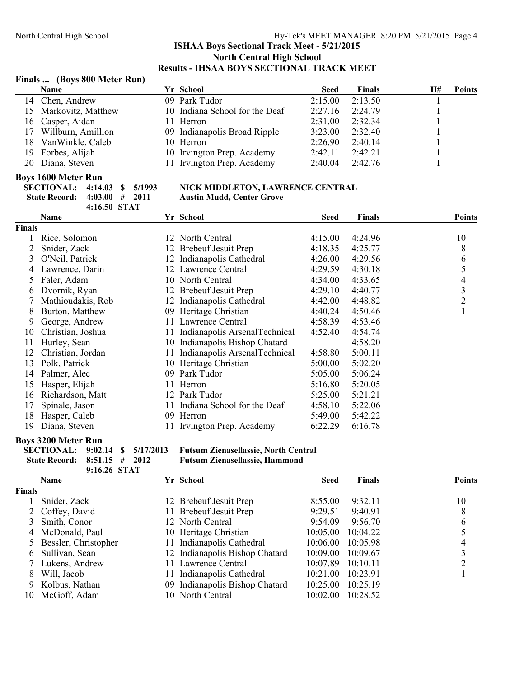#### **Finals ... (Boys 800 Meter Run)**

| <b>Name</b>           |  | <b>Seed</b>                                                                                                                                                                        | <b>Finals</b> | Н# | <b>Points</b> |
|-----------------------|--|------------------------------------------------------------------------------------------------------------------------------------------------------------------------------------|---------------|----|---------------|
| 14 Chen, Andrew       |  | 2:15.00                                                                                                                                                                            | 2:13.50       |    |               |
| 15 Markovitz, Matthew |  | 2:27.16                                                                                                                                                                            | 2:24.79       |    |               |
| 16 Casper, Aidan      |  | 2:31.00                                                                                                                                                                            | 2:32.34       |    |               |
| 17 Willburn, Amillion |  | 3:23.00                                                                                                                                                                            | 2:32.40       |    |               |
| 18 VanWinkle, Caleb   |  | 2:26.90                                                                                                                                                                            | 2:40.14       |    |               |
| 19 Forbes, Alijah     |  | 2:42.11                                                                                                                                                                            | 2:42.21       |    |               |
| 20 Diana, Steven      |  | 2:40.04                                                                                                                                                                            | 2:42.76       |    |               |
|                       |  | Yr School<br>09 Park Tudor<br>10 Indiana School for the Deaf<br>11 Herron<br>09 Indianapolis Broad Ripple<br>10 Herron<br>10 Irvington Prep. Academy<br>11 Irvington Prep. Academy |               |    |               |

#### **Boys 1600 Meter Run**

|                              | 4:16.50 STAT |  |  |
|------------------------------|--------------|--|--|
| State Record: 4:03.00 # 2011 |              |  |  |
| SECTIONAL: 4:14.03 \$ 5/1993 |              |  |  |

#### **SWEET STATE STATE IN EXECTION, LAWRENCE CENTRAL** Austin Mudd, Center Grove

|               | Name              |     | Yr School                      | Seed    | Finals  | <b>Points</b> |
|---------------|-------------------|-----|--------------------------------|---------|---------|---------------|
| <b>Finals</b> |                   |     |                                |         |         |               |
| 1.            | Rice, Solomon     |     | 12 North Central               | 4:15.00 | 4:24.96 | 10            |
| 2             | Snider, Zack      |     | 12 Brebeuf Jesuit Prep         | 4:18.35 | 4:25.77 | 8             |
| 3             | O'Neil, Patrick   |     | 12 Indianapolis Cathedral      | 4:26.00 | 4:29.56 | 6             |
| 4             | Lawrence, Darin   |     | 12 Lawrence Central            | 4:29.59 | 4:30.18 | 5             |
| 5.            | Faler, Adam       |     | 10 North Central               | 4:34.00 | 4:33.65 | 4             |
| 6             | Dvornik, Ryan     |     | 12 Brebeuf Jesuit Prep         | 4:29.10 | 4:40.77 | 3             |
|               | Mathioudakis, Rob |     | 12 Indianapolis Cathedral      | 4:42.00 | 4:48.82 | 2             |
| 8             | Burton, Matthew   |     | 09 Heritage Christian          | 4:40.24 | 4:50.46 | 1             |
| 9.            | George, Andrew    |     | 11 Lawrence Central            | 4:58.39 | 4:53.46 |               |
| 10            | Christian, Joshua | 11  | Indianapolis ArsenalTechnical  | 4:52.40 | 4:54.74 |               |
| 11            | Hurley, Sean      |     | 10 Indianapolis Bishop Chatard |         | 4:58.20 |               |
| 12            | Christian, Jordan | 11. | Indianapolis ArsenalTechnical  | 4:58.80 | 5:00.11 |               |
| 13            | Polk, Patrick     |     | 10 Heritage Christian          | 5:00.00 | 5:02.20 |               |
| 14            | Palmer, Alec      | 09  | Park Tudor                     | 5:05.00 | 5:06.24 |               |
| 15            | Hasper, Elijah    | 11  | Herron                         | 5:16.80 | 5:20.05 |               |
| 16            | Richardson, Matt  |     | 12 Park Tudor                  | 5:25.00 | 5:21.21 |               |
| 17            | Spinale, Jason    |     | 11 Indiana School for the Deaf | 4:58.10 | 5:22.06 |               |
| 18            | Hasper, Caleb     |     | 09 Herron                      | 5:49.00 | 5:42.22 |               |
| 19            | Diana, Steven     |     | 11 Irvington Prep. Academy     | 6:22.29 | 6:16.78 |               |

#### **Boys 3200 Meter Run**

| State Record: $8:51.15$ # 2012 |              |  |
|--------------------------------|--------------|--|
|                                | 9:16.26 STAT |  |

**SECTIONAL: 9:02.14 \$ 5/17/2013 Futsum Zienasellassie, North Central**



|        | <b>Name</b>            | Yr School                      | <b>Seed</b> | <b>Finals</b> | <b>Points</b> |
|--------|------------------------|--------------------------------|-------------|---------------|---------------|
| Finals |                        |                                |             |               |               |
|        | Snider, Zack           | 12 Brebeuf Jesuit Prep         | 8:55.00     | 9:32.11       | 10            |
|        | 2 Coffey, David        | 11 Brebeuf Jesuit Prep         | 9:29.51     | 9:40.91       | 8             |
|        | 3 Smith, Conor         | 12 North Central               | 9:54.09     | 9:56.70       | 6             |
|        | 4 McDonald, Paul       | 10 Heritage Christian          | 10:05.00    | 10:04.22      |               |
|        | 5 Bessler, Christopher | 11 Indianapolis Cathedral      | 10:06.00    | 10:05.98      | 4             |
|        | 6 Sullivan, Sean       | 12 Indianapolis Bishop Chatard | 10:09.00    | 10:09.67      |               |
|        | 7 Lukens, Andrew       | 11 Lawrence Central            | 10:07.89    | 10:10.11      |               |
| 8      | Will, Jacob            | 11 Indianapolis Cathedral      | 10:21.00    | 10:23.91      |               |
|        | 9 Kolbus, Nathan       | 09 Indianapolis Bishop Chatard | 10:25.00    | 10:25.19      |               |
| 10     | McGoff, Adam           | 10 North Central               | 10:02.00    | 10:28.52      |               |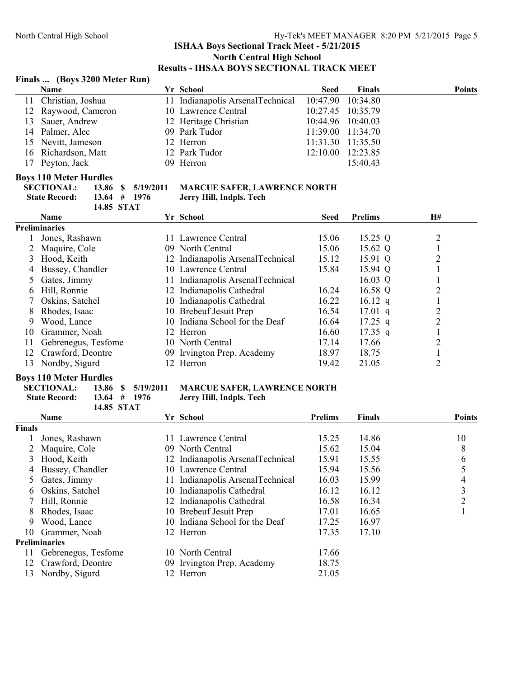### North Central High School Hy-Tek's MEET MANAGER 8:20 PM 5/21/2015 Page 5

#### **ISHAA Boys Sectional Track Meet - 5/21/2015 North Central High School Results - IHSAA BOYS SECTIONAL TRACK MEET**

#### **Finals ... (Boys 3200 Meter Run)**

|               | <b>Name</b>                                   | Yr School                           | <b>Seed</b> | <b>Finals</b>  | <b>Points</b>  |
|---------------|-----------------------------------------------|-------------------------------------|-------------|----------------|----------------|
| 11            | Christian, Joshua                             | 11 Indianapolis ArsenalTechnical    | 10:47.90    | 10:34.80       |                |
| 12            | Raywood, Cameron                              | 10 Lawrence Central                 | 10:27.45    | 10:35.79       |                |
| 13            | Sauer, Andrew                                 | 12 Heritage Christian               | 10:44.96    | 10:40.03       |                |
| 14            | Palmer, Alec                                  | 09 Park Tudor                       | 11:39.00    | 11:34.70       |                |
| 15            | Nevitt, Jameson                               | 12 Herron                           | 11:31.30    | 11:35.50       |                |
| 16            | Richardson, Matt                              | 12 Park Tudor                       | 12:10.00    | 12:23.85       |                |
| 17            | Peyton, Jack                                  | 09 Herron                           |             | 15:40.43       |                |
|               | <b>Boys 110 Meter Hurdles</b>                 |                                     |             |                |                |
|               | <b>SECTIONAL:</b><br>13.86<br>5/19/2011<br>-S | <b>MARCUE SAFER, LAWRENCE NORTH</b> |             |                |                |
|               | <b>State Record:</b><br>13.64<br>1976<br>#    | Jerry Hill, Indpls. Tech            |             |                |                |
|               | 14.85 STAT                                    |                                     |             |                |                |
|               | <b>Name</b>                                   | Yr School                           | <b>Seed</b> | <b>Prelims</b> | H#             |
|               | <b>Preliminaries</b>                          |                                     |             |                |                |
|               | Jones, Rashawn                                | 11 Lawrence Central                 | 15.06       | 15.25 Q        | $\overline{c}$ |
|               | Maquire, Cole                                 | 09 North Central                    | 15.06       | 15.62 Q        | $\mathbf{1}$   |
| 3             | Hood, Keith                                   | 12 Indianapolis ArsenalTechnical    | 15.12       | 15.91 Q        | $\overline{c}$ |
| 4             | Bussey, Chandler                              | 10 Lawrence Central                 | 15.84       | 15.94 Q        | 1              |
| $\mathcal{L}$ | Gates, Jimmy                                  | 11 Indianapolis ArsenalTechnical    |             | $16.03 \ Q$    | 1              |
| 6             | Hill, Ronnie                                  | 12 Indianapolis Cathedral           | 16.24       | 16.58 Q        | $\overline{c}$ |
|               | Oskins, Satchel                               | 10 Indianapolis Cathedral           | 16.22       | 16.12 $q$      | $\mathbf{1}$   |
| 8             | Rhodes, Isaac                                 | 10 Brebeuf Jesuit Prep              | 16.54       | $17.01$ q      | $\overline{c}$ |
| 9             | Wood, Lance                                   | 10 Indiana School for the Deaf      | 16.64       | $17.25$ q      | $\overline{c}$ |
| 10            | Grammer, Noah                                 | 12 Herron                           | 16.60       | $17.35$ q      | $\mathbf{1}$   |
| 11            | Gebrenegus, Tesfome                           | 10 North Central                    | 17.14       | 17.66          | $\overline{c}$ |
| 12            | Crawford, Deontre                             | 09 Irvington Prep. Academy          | 18.97       | 18.75          | $\,1\,$        |
| 13            | Nordby, Sigurd                                | 12 Herron                           | 19.42       | 21.05          | $\overline{2}$ |
|               |                                               |                                     |             |                |                |

#### **Boys 110 Meter Hurdles**

**State Record: 13.64 # 1976 Jerry Hill, Indpls. Tech 14.85 STAT**

# **SECTIONAL: 13.86 \$ 5/19/2011 MARCUE SAFER, LAWRENCE NORTH**

|               | <b>Name</b>          |              | Yr School                        | <b>Prelims</b> | Finals | <b>Points</b> |
|---------------|----------------------|--------------|----------------------------------|----------------|--------|---------------|
| <b>Finals</b> |                      |              |                                  |                |        |               |
|               | Jones, Rashawn       |              | 11 Lawrence Central              | 15.25          | 14.86  | 10            |
|               | Maquire, Cole        |              | 09 North Central                 | 15.62          | 15.04  | 8             |
| 3             | Hood, Keith          |              | 12 Indianapolis ArsenalTechnical | 15.91          | 15.55  | 6             |
| 4             | Bussey, Chandler     |              | 10 Lawrence Central              | 15.94          | 15.56  |               |
| 5             | Gates, Jimmy         | 11.          | Indianapolis ArsenalTechnical    | 16.03          | 15.99  | 4             |
| 6             | Oskins, Satchel      |              | 10 Indianapolis Cathedral        | 16.12          | 16.12  | 3             |
|               | Hill, Ronnie         |              | 12 Indianapolis Cathedral        | 16.58          | 16.34  | າ             |
| 8             | Rhodes, Isaac        |              | 10 Brebeuf Jesuit Prep           | 17.01          | 16.65  |               |
| 9             | Wood, Lance          |              | 10 Indiana School for the Deaf   | 17.25          | 16.97  |               |
| 10.           | Grammer, Noah        |              | 12 Herron                        | 17.35          | 17.10  |               |
|               | <b>Preliminaries</b> |              |                                  |                |        |               |
| 11            | Gebrenegus, Tesfome  | 10.          | North Central                    | 17.66          |        |               |
| 12            | Crawford, Deontre    |              | 09 Irvington Prep. Academy       | 18.75          |        |               |
| 13            | Nordby, Sigurd       | <sup>2</sup> | Herron                           | 21.05          |        |               |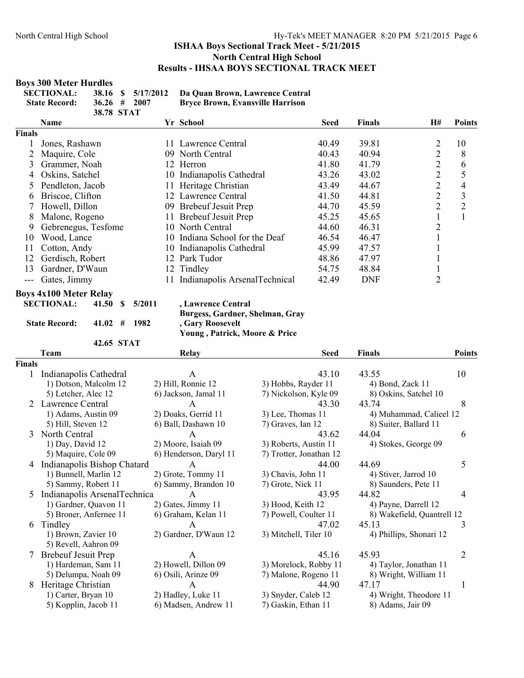#### **Boys 300 Meter Hurdles**

| <b>SECTIONAL:</b>    |            | 38.16 \$ 5/17/2012 | Da Quan Brown, Lawrence Central         |
|----------------------|------------|--------------------|-----------------------------------------|
| <b>State Record:</b> |            | $36.26 \pm 2007$   | <b>Bryce Brown, Evansville Harrison</b> |
|                      | 38.78 STAT |                    |                                         |

|               | <b>Name</b>                   |     | Yr School                      | <b>Seed</b> | <b>Finals</b> | <b>H#</b>      | <b>Points</b>  |
|---------------|-------------------------------|-----|--------------------------------|-------------|---------------|----------------|----------------|
| <b>Finals</b> |                               |     |                                |             |               |                |                |
|               | Jones, Rashawn                | 11. | Lawrence Central               | 40.49       | 39.81         | 2              | 10             |
|               | Maquire, Cole                 |     | 09 North Central               | 40.43       | 40.94         | 2              | 8              |
| 3             | Grammer, Noah                 |     | 12 Herron                      | 41.80       | 41.79         | $\overline{2}$ | 6              |
| 4             | Oskins, Satchel               |     | 10 Indianapolis Cathedral      | 43.26       | 43.02         | $\overline{2}$ | 5              |
| 5.            | Pendleton, Jacob              |     | 11 Heritage Christian          | 43.49       | 44.67         | 2              | 4              |
| 6             | Briscoe, Clifton              | 12  | Lawrence Central               | 41.50       | 44.81         | 2              | 3              |
|               | Howell, Dillon                |     | 09 Brebeuf Jesuit Prep         | 44.70       | 45.59         | 2              | $\overline{2}$ |
| 8             | Malone, Rogeno                |     | 11 Brebeuf Jesuit Prep         | 45.25       | 45.65         |                |                |
| 9             | Gebrenegus, Tesfome           |     | 10 North Central               | 44.60       | 46.31         | $\overline{2}$ |                |
| 10            | Wood, Lance                   |     | 10 Indiana School for the Deaf | 46.54       | 46.47         |                |                |
| 11            | Cotton, Andy                  | 10- | Indianapolis Cathedral         | 45.99       | 47.57         |                |                |
| 12            | Gerdisch, Robert              | 12  | Park Tudor                     | 48.86       | 47.97         |                |                |
| 13            | Gardner, D'Waun               |     | 12 Tindley                     | 54.75       | 48.84         |                |                |
| $---$         | Gates, Jimmy                  |     | Indianapolis ArsenalTechnical  | 42.49       | <b>DNF</b>    | $\overline{2}$ |                |
|               | <b>Boys 4x100 Meter Relay</b> |     |                                |             |               |                |                |

**SECTIONAL: 41.50 \$ 5/2011 , Lawrence Central**

**42.65 STAT**

**Burgess, Gardner, Shelman, Gray State Record: 41.02 # 1982 , Gary Roosevelt Young , Patrick, Moore & Price**

|               | Team                         | <b>Relay</b>           | <b>Seed</b>             | <b>Finals</b>              | <b>Points</b>  |
|---------------|------------------------------|------------------------|-------------------------|----------------------------|----------------|
| <b>Finals</b> |                              |                        |                         |                            |                |
|               | Indianapolis Cathedral       | A                      | 43.10                   | 43.55                      | 10             |
|               | 1) Dotson, Malcolm 12        | 2) Hill, Ronnie 12     | 3) Hobbs, Rayder 11     | 4) Bond, Zack 11           |                |
|               | 5) Letcher, Alec 12          | 6) Jackson, Jamal 11   | 7) Nickolson, Kyle 09   | 8) Oskins, Satchel 10      |                |
|               | 2 Lawrence Central           | A                      | 43.30                   | 43.74                      | 8              |
|               | 1) Adams, Austin 09          | 2) Doaks, Gerrid 11    | 3) Lee, Thomas 11       | 4) Muhammad, Calieel 12    |                |
|               | 5) Hill, Steven 12           | 6) Ball, Dashawn 10    | 7) Graves, Ian 12       | 8) Suiter, Ballard 11      |                |
| 3             | North Central                | A                      | 43.62                   | 44.04                      | 6              |
|               | 1) Day, David 12             | 2) Moore, Isaiah 09    | 3) Roberts, Austin 11   | 4) Stokes, George 09       |                |
|               | 5) Maquire, Cole 09          | 6) Henderson, Daryl 11 | 7) Trotter, Jonathan 12 |                            |                |
| 4             | Indianapolis Bishop Chatard  | A                      | 44.00                   | 44.69                      | 5              |
|               | 1) Bunnell, Marlin 12        | 2) Grote, Tommy 11     | 3) Chavis, John 11      | 4) Stiver, Jarrod 10       |                |
|               | 5) Sammy, Robert 11          | 6) Sammy, Brandon 10   | 7) Grote, Nick 11       | 8) Saunders, Pete 11       |                |
| 5             | Indianapolis ArsenalTechnica | A                      | 43.95                   | 44.82                      | 4              |
|               | 1) Gardner, Quavon 11        | 2) Gates, Jimmy 11     | 3) Hood, Keith 12       | 4) Payne, Darrell 12       |                |
|               | 5) Broner, Anfernee 11       | 6) Graham, Kelan 11    | 7) Powell, Coulter 11   | 8) Wakefield, Quantrell 12 |                |
| 6             | Tindley                      | A                      | 47.02                   | 45.13                      | 3              |
|               | 1) Brown, Zavier 10          | 2) Gardner, D'Waun 12  | 3) Mitchell, Tiler 10   | 4) Phillips, Shonari 12    |                |
|               | 5) Revell, Aahron 09         |                        |                         |                            |                |
| 7             | <b>Brebeuf Jesuit Prep</b>   | A                      | 45.16                   | 45.93                      | $\overline{2}$ |
|               | 1) Hardeman, Sam 11          | 2) Howell, Dillon 09   | 3) Morelock, Robby 11   | 4) Taylor, Jonathan 11     |                |
|               | 5) Delumpa, Noah 09          | 6) Osili, Arinze 09    | 7) Malone, Rogeno 11    | 8) Wright, William 11      |                |
| 8             | Heritage Christian           | A                      | 44.90                   | 47.17                      |                |
|               | 1) Carter, Bryan 10          | 2) Hadley, Luke 11     | 3) Snyder, Caleb 12     | 4) Wright, Theodore 11     |                |
|               | 5) Kopplin, Jacob 11         | 6) Madsen, Andrew 11   | 7) Gaskin, Ethan 11     | 8) Adams, Jair 09          |                |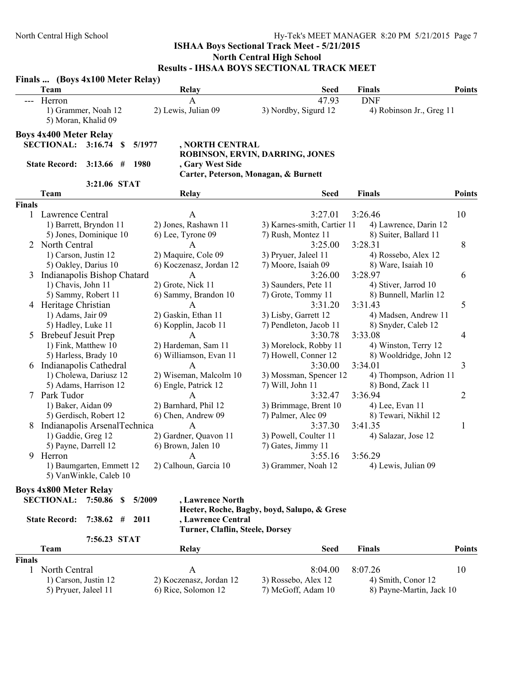|        | Finals  (Boys 4x100 Meter Relay)                           |              |    |        |                                 |                                             |                          |               |
|--------|------------------------------------------------------------|--------------|----|--------|---------------------------------|---------------------------------------------|--------------------------|---------------|
|        | <b>Team</b>                                                |              |    |        | Relay                           | <b>Seed</b>                                 | <b>Finals</b>            | <b>Points</b> |
|        | Herron                                                     |              |    |        | A                               | 47.93                                       | <b>DNF</b>               |               |
|        | 1) Grammer, Noah 12<br>5) Moran, Khalid 09                 |              |    |        | 2) Lewis, Julian 09             | 3) Nordby, Sigurd 12                        | 4) Robinson Jr., Greg 11 |               |
|        | <b>Boys 4x400 Meter Relay</b><br><b>SECTIONAL: 3:16.74</b> |              | -S | 5/1977 | , NORTH CENTRAL                 |                                             |                          |               |
|        |                                                            |              |    |        |                                 | ROBINSON, ERVIN, DARRING, JONES             |                          |               |
|        | <b>State Record:</b>                                       | $3:13.66$ #  |    | 1980   | , Gary West Side                |                                             |                          |               |
|        |                                                            |              |    |        |                                 | Carter, Peterson, Monagan, & Burnett        |                          |               |
|        |                                                            | 3:21.06 STAT |    |        |                                 |                                             |                          |               |
|        | Team                                                       |              |    |        | Relay                           | <b>Seed</b>                                 | <b>Finals</b>            | <b>Points</b> |
| Finals |                                                            |              |    |        |                                 |                                             |                          |               |
| 1      | Lawrence Central                                           |              |    |        | A                               | 3:27.01                                     | 3:26.46                  | 10            |
|        | 1) Barrett, Bryndon 11                                     |              |    |        | 2) Jones, Rashawn 11            | 3) Karnes-smith, Cartier 11                 | 4) Lawrence, Darin 12    |               |
|        | 5) Jones, Dominique 10                                     |              |    |        | 6) Lee, Tyrone 09               | 7) Rush, Montez 11                          | 8) Suiter, Ballard 11    |               |
|        | North Central                                              |              |    |        | A                               | 3:25.00                                     | 3:28.31                  | 8             |
|        | 1) Carson, Justin 12                                       |              |    |        | 2) Maquire, Cole 09             | 3) Pryuer, Jaleel 11                        | 4) Rossebo, Alex 12      |               |
|        | 5) Oakley, Darius 10                                       |              |    |        | 6) Koczenasz, Jordan 12         | 7) Moore, Isaiah 09                         | 8) Ware, Isaiah 10       |               |
| 3      | Indianapolis Bishop Chatard                                |              |    |        | A                               | 3:26.00                                     | 3:28.97                  | 6             |
|        | 1) Chavis, John 11                                         |              |    |        | 2) Grote, Nick 11               | 3) Saunders, Pete 11                        | 4) Stiver, Jarrod 10     |               |
|        | 5) Sammy, Robert 11                                        |              |    |        | 6) Sammy, Brandon 10            | 7) Grote, Tommy 11                          | 8) Bunnell, Marlin 12    |               |
|        | 4 Heritage Christian                                       |              |    |        | A                               | 3:31.20                                     | 3:31.43                  | 5             |
|        | 1) Adams, Jair 09                                          |              |    |        | 2) Gaskin, Ethan 11             | 3) Lisby, Garrett 12                        | 4) Madsen, Andrew 11     |               |
|        | 5) Hadley, Luke 11                                         |              |    |        | 6) Kopplin, Jacob 11            | 7) Pendleton, Jacob 11                      | 8) Snyder, Caleb 12      |               |
| 5      | <b>Brebeuf Jesuit Prep</b>                                 |              |    |        | A                               | 3:30.78                                     | 3:33.08                  | 4             |
|        | 1) Fink, Matthew 10                                        |              |    |        | 2) Hardeman, Sam 11             | 3) Morelock, Robby 11                       | 4) Winston, Terry 12     |               |
|        | 5) Harless, Brady 10                                       |              |    |        | 6) Williamson, Evan 11          | 7) Howell, Conner 12                        | 8) Wooldridge, John 12   |               |
| 6      | Indianapolis Cathedral                                     |              |    |        | $\mathsf{A}$                    | 3:30.00                                     | 3:34.01                  | 3             |
|        | 1) Cholewa, Dariusz 12                                     |              |    |        | 2) Wiseman, Malcolm 10          | 3) Mossman, Spencer 12                      | 4) Thompson, Adrion 11   |               |
|        | 5) Adams, Harrison 12                                      |              |    |        | 6) Engle, Patrick 12            | 7) Will, John 11                            | 8) Bond, Zack 11         |               |
| 7      | Park Tudor                                                 |              |    |        | A                               | 3:32.47                                     | 3:36.94                  | 2             |
|        | 1) Baker, Aidan 09                                         |              |    |        | 2) Barnhard, Phil 12            | 3) Brimmage, Brent 10                       | 4) Lee, Evan 11          |               |
|        | 5) Gerdisch, Robert 12                                     |              |    |        | 6) Chen, Andrew 09              | 7) Palmer, Alec 09                          | 8) Tewari, Nikhil 12     |               |
| 8      | Indianapolis ArsenalTechnica                               |              |    |        | $\mathbf{A}$                    | 3:37.30                                     | 3:41.35                  | 1             |
|        | 1) Gaddie, Greg 12                                         |              |    |        | 2) Gardner, Quavon 11           | 3) Powell, Coulter 11                       | 4) Salazar, Jose 12      |               |
|        | 5) Payne, Darrell 12                                       |              |    |        | 6) Brown, Jalen 10              | 7) Gates, Jimmy 11                          |                          |               |
|        | 9 Herron                                                   |              |    |        | $\mathsf{A}$                    | 3:55.16                                     | 3:56.29                  |               |
|        | 1) Baumgarten, Emmett 12                                   |              |    |        | 2) Calhoun, Garcia 10           | 3) Grammer, Noah 12                         | 4) Lewis, Julian 09      |               |
|        | 5) VanWinkle, Caleb 10                                     |              |    |        |                                 |                                             |                          |               |
|        |                                                            |              |    |        |                                 |                                             |                          |               |
|        | <b>Boys 4x800 Meter Relay</b>                              |              |    |        |                                 |                                             |                          |               |
|        | <b>SECTIONAL: 7:50.86</b>                                  |              | S. | 5/2009 | , Lawrence North                |                                             |                          |               |
|        |                                                            |              |    |        |                                 | Heeter, Roche, Bagby, boyd, Salupo, & Grese |                          |               |
|        | <b>State Record:</b>                                       | $7:38.62$ #  |    | 2011   | , Lawrence Central              |                                             |                          |               |
|        |                                                            |              |    |        | Turner, Claflin, Steele, Dorsey |                                             |                          |               |
|        |                                                            | 7:56.23 STAT |    |        |                                 |                                             |                          |               |

| l'eam                | Relay                   | Seed                | <b>Finals</b>            | Points |
|----------------------|-------------------------|---------------------|--------------------------|--------|
| <b>Finals</b>        |                         |                     |                          |        |
| North Central        |                         | $8.04\,00$          | 8.0726                   | 10     |
| 1) Carson, Justin 12 | 2) Koczenasz, Jordan 12 | 3) Rossebo, Alex 12 | 4) Smith, Conor 12       |        |
| 5) Pryuer, Jaleel 11 | 6) Rice, Solomon 12     | 7) McGoff, Adam 10  | 8) Payne-Martin, Jack 10 |        |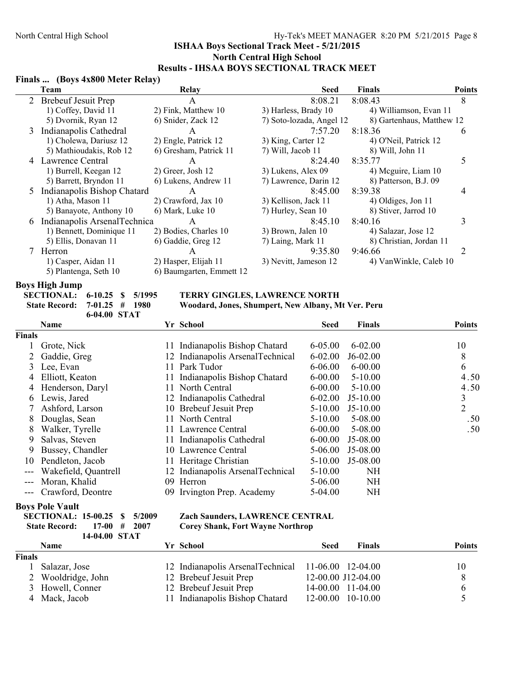#### **Finals ... (Boys 4x800 Meter Relay)**

|   | Team                         | Relay                    | <b>Seed</b>              | <b>Finals</b>             | <b>Points</b> |
|---|------------------------------|--------------------------|--------------------------|---------------------------|---------------|
|   | 2 Brebeuf Jesuit Prep        | A                        | 8:08.21                  | 8:08.43                   | 8             |
|   | 1) Coffey, David 11          | 2) Fink, Matthew 10      | 3) Harless, Brady 10     | 4) Williamson, Evan 11    |               |
|   | 5) Dvornik, Ryan 12          | 6) Snider, Zack 12       | 7) Soto-lozada, Angel 12 | 8) Gartenhaus, Matthew 12 |               |
| 3 | Indianapolis Cathedral       | A                        | 7:57.20                  | 8:18.36                   | 6             |
|   | 1) Cholewa, Dariusz 12       | 2) Engle, Patrick 12     | 3) King, Carter 12       | 4) O'Neil, Patrick 12     |               |
|   | 5) Mathioudakis, Rob 12      | 6) Gresham, Patrick 11   | 7) Will, Jacob 11        | 8) Will, John 11          |               |
| 4 | Lawrence Central             | A                        | 8:24.40                  | 8:35.77                   |               |
|   | 1) Burrell, Keegan 12        | 2) Greer, Josh 12        | 3) Lukens, Alex 09       | 4) Meguire, Liam 10       |               |
|   | 5) Barrett, Bryndon 11       | 6) Lukens, Andrew 11     | 7) Lawrence, Darin 12    | 8) Patterson, B.J. 09     |               |
|   | Indianapolis Bishop Chatard  | A                        | 8:45.00                  | 8:39.38                   | 4             |
|   | 1) Atha, Mason 11            | 2) Crawford, Jax 10      | 3) Kellison, Jack 11     | 4) Oldiges, Jon 11        |               |
|   | 5) Banayote, Anthony 10      | 6) Mark, Luke 10         | 7) Hurley, Sean 10       | 8) Stiver, Jarrod 10      |               |
| 6 | Indianapolis ArsenalTechnica | A                        | 8:45.10                  | 8:40.16                   |               |
|   | 1) Bennett, Dominique 11     | 2) Bodies, Charles 10    | 3) Brown, Jalen 10       | 4) Salazar, Jose 12       |               |
|   | 5) Ellis, Donavan 11         | 6) Gaddie, Greg 12       | 7) Laing, Mark 11        | 8) Christian, Jordan 11   |               |
|   | Herron                       | A                        | 9:35.80                  | 9:46.66                   | 2             |
|   | 1) Casper, Aidan 11          | 2) Hasper, Elijah 11     | 3) Nevitt, Jameson 12    | 4) VanWinkle, Caleb 10    |               |
|   | 5) Plantenga, Seth 10        | 6) Baumgarten, Emmett 12 |                          |                           |               |

# **Boys High Jump**<br>**SECTIONAL:** 6-10.25 \$ 5/1995

**6-04.00 STAT**

#### TERRY GINGLES, LAWRENCE NORTH

**State Record: 7-01.25 # 1980 Woodard, Jones, Shumpert, New Albany, Mt Ver. Peru**

|        | Name                 |    | Yr School                        | <b>Seed</b> | Finals      | <b>Points</b>  |
|--------|----------------------|----|----------------------------------|-------------|-------------|----------------|
| Finals |                      |    |                                  |             |             |                |
|        | Grote, Nick          | 11 | Indianapolis Bishop Chatard      | $6 - 05.00$ | $6 - 02.00$ | 10             |
|        | Gaddie, Greg         |    | 12 Indianapolis ArsenalTechnical | $6 - 02.00$ | $J6-02.00$  | 8              |
| 3      | Lee, Evan            | 11 | Park Tudor                       | $6 - 06.00$ | $6 - 00.00$ | 6              |
| 4      | Elliott, Keaton      | 11 | Indianapolis Bishop Chatard      | $6 - 00.00$ | $5 - 10.00$ | 4.50           |
| 4      | Henderson, Daryl     | 11 | North Central                    | $6 - 00.00$ | $5 - 10.00$ | 4.50           |
| 6      | Lewis, Jared         |    | 12 Indianapolis Cathedral        | $6 - 02.00$ | $J5-10.00$  | 3              |
|        | Ashford, Larson      |    | 10 Brebeuf Jesuit Prep           | $5 - 10.00$ | $J5-10.00$  | $\overline{2}$ |
| 8      | Douglas, Sean        | 11 | North Central                    | $5 - 10.00$ | 5-08.00     | .50            |
| 8      | Walker, Tyrelle      | 11 | Lawrence Central                 | $6 - 00.00$ | 5-08.00     | .50            |
| 9      | Salvas, Steven       | 11 | Indianapolis Cathedral           | $6 - 00.00$ | J5-08.00    |                |
| 9      | Bussey, Chandler     | 10 | Lawrence Central                 | $5-06.00$   | J5-08.00    |                |
| 10     | Pendleton, Jacob     |    | 11 Heritage Christian            | $5-10.00$   | J5-08.00    |                |
| $---$  | Wakefield, Quantrell |    | 12 Indianapolis ArsenalTechnical | $5-10.00$   | <b>NH</b>   |                |
|        | Moran, Khalid        | 09 | Herron                           | 5-06.00     | <b>NH</b>   |                |
|        | Crawford, Deontre    |    | 09 Irvington Prep. Academy       | $5-04.00$   | <b>NH</b>   |                |

#### **Boys Pole Vault**

| SECTIONAL: 15-00.25 \$ 5/2009 |               |  |
|-------------------------------|---------------|--|
| State Record: 17-00 # 2007    |               |  |
|                               | 14-04.00 STAT |  |

#### **Zach Saunders, LAWRENCE CENTRAL Corey Shank, Fort Wayne Northrop**

|        | <b>Name</b>        | Yr School                                          | Seed | <b>Finals</b>      | <b>Points</b> |
|--------|--------------------|----------------------------------------------------|------|--------------------|---------------|
| Finals |                    |                                                    |      |                    |               |
|        | Salazar, Jose      | 12 Indianapolis ArsenalTechnical 11-06.00 12-04.00 |      |                    | 10            |
|        | 2 Wooldridge, John | 12 Brebeuf Jesuit Prep                             |      | 12-00.00 J12-04.00 |               |
|        | 3 Howell, Conner   | 12 Brebeuf Jesuit Prep                             |      | 14-00.00 11-04.00  |               |
| 4      | Mack, Jacob        | 11 Indianapolis Bishop Chatard                     |      | 12-00.00 10-10.00  |               |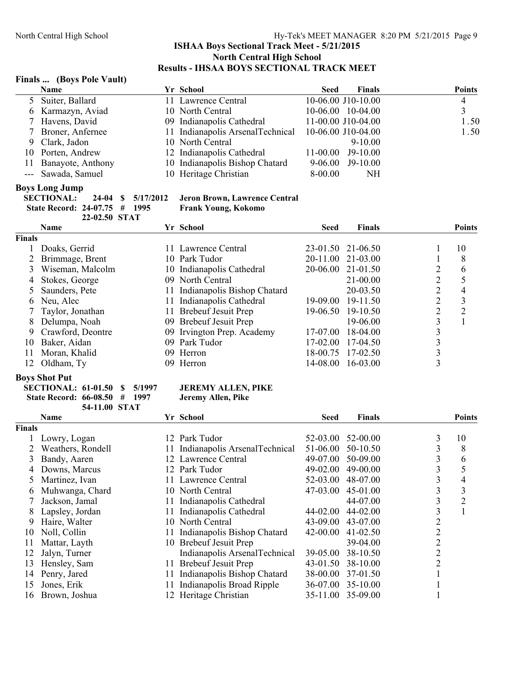#### **Finals ... (Boys Pole Vault)**

| $1 \text{ mag}$ $1 \text{log}$ , $1 \text{ deg}$ , and $1$ |                                  |             |                     |                |
|------------------------------------------------------------|----------------------------------|-------------|---------------------|----------------|
| <b>Name</b>                                                | Yr School                        | <b>Seed</b> | Finals              | <b>Points</b>  |
| 5 Suiter, Ballard                                          | 11 Lawrence Central              |             | 10-06.00 J10-10.00  | $\overline{4}$ |
| 6 Karmazyn, Aviad                                          | 10 North Central                 |             | $10-06.00$ 10-04.00 |                |
| 7 Havens, David                                            | 09 Indianapolis Cathedral        |             | 11-00.00 J10-04.00  | 1.50           |
| 7 Broner, Anfernee                                         | 11 Indianapolis ArsenalTechnical |             | 10-06.00 J10-04.00  | 1.50           |
| 9 Clark, Jadon                                             | 10 North Central                 |             | $9 - 10.00$         |                |
| 10 Porten, Andrew                                          | 12 Indianapolis Cathedral        |             | 11-00.00 J9-10.00   |                |
| 11 Banayote, Anthony                                       | 10 Indianapolis Bishop Chatard   |             | $9-06.00$ J9-10.00  |                |
| --- Sawada, Samuel                                         | 10 Heritage Christian            | 8-00.00     | NΗ                  |                |
|                                                            |                                  |             |                     |                |

#### **Boys Long Jump**

| SECTIONAL: 24-04 \$ 5/17/2012 |               |  |
|-------------------------------|---------------|--|
| State Record: 24-07.75 # 1995 |               |  |
|                               | 22-02.50 STAT |  |

## **Jeron Brown, Lawrence Central**

**Frank Young, Kokomo** 

|               | <b>Name</b>         |     | Yr School                      | <b>Seed</b> | Finals            |   | <b>Points</b> |
|---------------|---------------------|-----|--------------------------------|-------------|-------------------|---|---------------|
| <b>Finals</b> |                     |     |                                |             |                   |   |               |
|               | Doaks, Gerrid       |     | 11 Lawrence Central            |             | 23-01.50 21-06.50 |   | 10            |
|               | Brimmage, Brent     |     | 10 Park Tudor                  |             | 20-11.00 21-03.00 |   | 8             |
|               | Wiseman, Malcolm    |     | 10 Indianapolis Cathedral      |             | 20-06.00 21-01.50 | 2 | 6             |
| 4             | Stokes, George      |     | 09 North Central               |             | $21 - 00.00$      | ↑ |               |
|               | 5 Saunders, Pete    |     | 11 Indianapolis Bishop Chatard |             | 20-03.50          | 2 | 4             |
|               | 6 Neu, Alec         |     | 11 Indianapolis Cathedral      | $19-09.00$  | 19-11.50          | C | 3             |
|               | 7 Taylor, Jonathan  | 11. | Brebeuf Jesuit Prep            |             | 19-06.50 19-10.50 | ↑ | $\mathcal{D}$ |
|               | 8 Delumpa, Noah     |     | 09 Brebeuf Jesuit Prep         |             | 19-06.00          | 3 |               |
|               | 9 Crawford, Deontre |     | 09 Irvington Prep. Academy     | 17-07.00    | $18-04.00$        | 3 |               |
| 10            | Baker, Aidan        |     | 09 Park Tudor                  | $17-02.00$  | $17-04.50$        |   |               |
| 11            | Moran, Khalid       |     | 09 Herron                      | 18-00.75    | 17-02.50          | 3 |               |
| 12.           | Oldham, Ty          |     | 09 Herron                      | 14-08.00    | $16-03.00$        |   |               |

### **Boys Shot Put**

| <b>SECTIONAL: 61-01.50 \$ 5/1997</b> |               |  |
|--------------------------------------|---------------|--|
| State Record: 66-08.50 # 1997        |               |  |
|                                      | 54-11.00 STAT |  |

#### **JEREMY ALLEN, PIKE**

Jeremy Allen, Pike

|               | Name              |     | Yr School                        | <b>Seed</b> | <b>Finals</b> |                | <b>Points</b>  |
|---------------|-------------------|-----|----------------------------------|-------------|---------------|----------------|----------------|
| <b>Finals</b> |                   |     |                                  |             |               |                |                |
|               | Lowry, Logan      |     | 12 Park Tudor                    | $52-03.00$  | 52-00.00      | 3              | 10             |
|               | Weathers, Rondell |     | 11 Indianapolis ArsenalTechnical | 51-06.00    | 50-10.50      | 3              | 8              |
| 3             | Bandy, Aaren      |     | 12 Lawrence Central              | 49-07.00    | 50-09.00      | 3              | 6              |
|               | Downs, Marcus     |     | 12 Park Tudor                    | 49-02.00    | 49-00.00      | 3              | 5              |
|               | Martinez, Ivan    |     | 11 Lawrence Central              | $52-03.00$  | 48-07.00      | 3              | 4              |
| 6             | Muhwanga, Chard   |     | 10 North Central                 | 47-03.00    | 45-01.00      | 3              | 3              |
|               | Jackson, Jamal    |     | 11 Indianapolis Cathedral        |             | 44-07.00      | 3              | $\overline{2}$ |
| 8.            | Lapsley, Jordan   |     | 11 Indianapolis Cathedral        | 44-02.00    | $44 - 02.00$  | 3              |                |
| 9             | Haire, Walter     |     | 10 North Central                 | 43-09.00    | 43-07.00      | 2              |                |
| 10            | Noll, Collin      | 11  | Indianapolis Bishop Chatard      | 42-00.00    | $41 - 02.50$  | 2              |                |
| 11            | Mattar, Layth     |     | 10 Brebeuf Jesuit Prep           |             | 39-04.00      | $\overline{2}$ |                |
| 12            | Jalyn, Turner     |     | Indianapolis ArsenalTechnical    | 39-05.00    | 38-10.50      | $\overline{2}$ |                |
| 13            | Hensley, Sam      | 11. | <b>Brebeuf Jesuit Prep</b>       | 43-01.50    | 38-10.00      | $\overline{2}$ |                |
| 14            | Penry, Jared      | 11  | Indianapolis Bishop Chatard      | 38-00.00    | 37-01.50      |                |                |
| 15            | Jones, Erik       | 11  | Indianapolis Broad Ripple        | 36-07.00    | $35-10.00$    |                |                |
| 16            | Brown, Joshua     |     | 12 Heritage Christian            | $35-11.00$  | 35-09.00      |                |                |